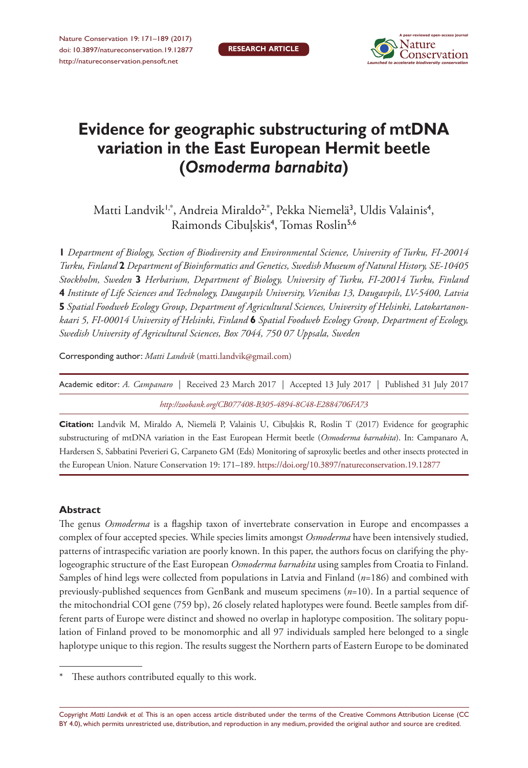

# **Evidence for geographic substructuring of mtDNA variation in the East European Hermit beetle (***Osmoderma barnabita***)**

Matti Landvik<sup>1,\*</sup>, Andreia Miraldo<sup>2,\*</sup>, Pekka Niemelä<sup>3</sup>, Uldis Valainis<sup>4</sup>, Raimonds Cibuļskis<sup>4</sup>, Tomas Roslin<sup>5,6</sup>

**1** *Department of Biology, Section of Biodiversity and Environmental Science, University of Turku, FI-20014 Turku, Finland* **2** *Department of Bioinformatics and Genetics, Swedish Museum of Natural History, SE-10405 Stockholm, Sweden* **3** *Herbarium, Department of Biology, University of Turku, FI-20014 Turku, Finland*  **4** *Institute of Life Sciences and Technology, Daugavpils University, Vienibas 13, Daugavpils, LV-5400, Latvia*  **5** *Spatial Foodweb Ecology Group, Department of Agricultural Sciences, University of Helsinki, Latokartanonkaari 5, FI-00014 University of Helsinki, Finland* **6** *Spatial Foodweb Ecology Group, Department of Ecology, Swedish University of Agricultural Sciences, Box 7044, 750 07 Uppsala, Sweden*

Corresponding author: *Matti Landvik* ([matti.landvik@gmail.com\)](mailto:matti.landvik@gmail.com)

| Academic editor: A. Campanaro   Received 23 March 2017   Accepted 13 July 2017   Published 31 July 2017 |  |  |  |  |  |  |
|---------------------------------------------------------------------------------------------------------|--|--|--|--|--|--|
| http://zoobank.org/CB077408-B305-4894-8C48-E2884706FA73                                                 |  |  |  |  |  |  |

**Citation:** Landvik M, Miraldo A, Niemelä P, Valainis U, Cibuļskis R, Roslin T (2017) Evidence for geographic substructuring of mtDNA variation in the East European Hermit beetle (*Osmoderma barnabita*). In: Campanaro A, Hardersen S, Sabbatini Peverieri G, Carpaneto GM (Eds) Monitoring of saproxylic beetles and other insects protected in the European Union. Nature Conservation 19: 171–189.<https://doi.org/10.3897/natureconservation.19.12877>

#### **Abstract**

The genus *Osmoderma* is a flagship taxon of invertebrate conservation in Europe and encompasses a complex of four accepted species. While species limits amongst *Osmoderma* have been intensively studied, patterns of intraspecific variation are poorly known. In this paper, the authors focus on clarifying the phylogeographic structure of the East European *Osmoderma barnabita* using samples from Croatia to Finland. Samples of hind legs were collected from populations in Latvia and Finland (*n*=186) and combined with previously-published sequences from GenBank and museum specimens (*n*=10). In a partial sequence of the mitochondrial COI gene (759 bp), 26 closely related haplotypes were found. Beetle samples from different parts of Europe were distinct and showed no overlap in haplotype composition. The solitary population of Finland proved to be monomorphic and all 97 individuals sampled here belonged to a single haplotype unique to this region. The results suggest the Northern parts of Eastern Europe to be dominated

Copyright *Matti Landvik et al.* This is an open access article distributed under the terms of the [Creative Commons Attribution License \(CC](http://creativecommons.org/licenses/by/4.0/)  [BY 4.0\)](http://creativecommons.org/licenses/by/4.0/), which permits unrestricted use, distribution, and reproduction in any medium, provided the original author and source are credited.

These authors contributed equally to this work.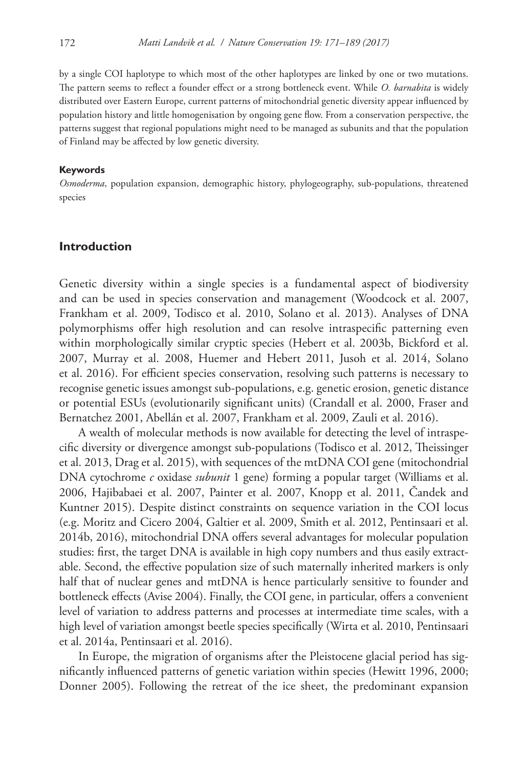by a single COI haplotype to which most of the other haplotypes are linked by one or two mutations. The pattern seems to reflect a founder effect or a strong bottleneck event. While *O. barnabita* is widely distributed over Eastern Europe, current patterns of mitochondrial genetic diversity appear influenced by population history and little homogenisation by ongoing gene flow. From a conservation perspective, the patterns suggest that regional populations might need to be managed as subunits and that the population of Finland may be affected by low genetic diversity.

#### **Keywords**

*Osmoderma*, population expansion, demographic history, phylogeography, sub-populations, threatened species

#### **Introduction**

Genetic diversity within a single species is a fundamental aspect of biodiversity and can be used in species conservation and management (Woodcock et al. 2007, Frankham et al. 2009, Todisco et al. 2010, Solano et al. 2013). Analyses of DNA polymorphisms offer high resolution and can resolve intraspecific patterning even within morphologically similar cryptic species (Hebert et al. 2003b, Bickford et al. 2007, Murray et al. 2008, Huemer and Hebert 2011, Jusoh et al. 2014, Solano et al. 2016). For efficient species conservation, resolving such patterns is necessary to recognise genetic issues amongst sub-populations, e.g. genetic erosion, genetic distance or potential ESUs (evolutionarily significant units) (Crandall et al. 2000, Fraser and Bernatchez 2001, Abellán et al. 2007, Frankham et al. 2009, Zauli et al. 2016).

A wealth of molecular methods is now available for detecting the level of intraspecific diversity or divergence amongst sub-populations (Todisco et al. 2012, Theissinger et al. 2013, Drag et al. 2015), with sequences of the mtDNA COI gene (mitochondrial DNA cytochrome *c* oxidase *subunit* 1 gene) forming a popular target (Williams et al. 2006, Hajibabaei et al. 2007, Painter et al. 2007, Knopp et al. 2011, Čandek and Kuntner 2015). Despite distinct constraints on sequence variation in the COI locus (e.g. Moritz and Cicero 2004, Galtier et al. 2009, Smith et al. 2012, Pentinsaari et al. 2014b, 2016), mitochondrial DNA offers several advantages for molecular population studies: first, the target DNA is available in high copy numbers and thus easily extractable. Second, the effective population size of such maternally inherited markers is only half that of nuclear genes and mtDNA is hence particularly sensitive to founder and bottleneck effects (Avise 2004). Finally, the COI gene, in particular, offers a convenient level of variation to address patterns and processes at intermediate time scales, with a high level of variation amongst beetle species specifically (Wirta et al. 2010, Pentinsaari et al. 2014a, Pentinsaari et al. 2016).

In Europe, the migration of organisms after the Pleistocene glacial period has significantly influenced patterns of genetic variation within species (Hewitt 1996, 2000; Donner 2005). Following the retreat of the ice sheet, the predominant expansion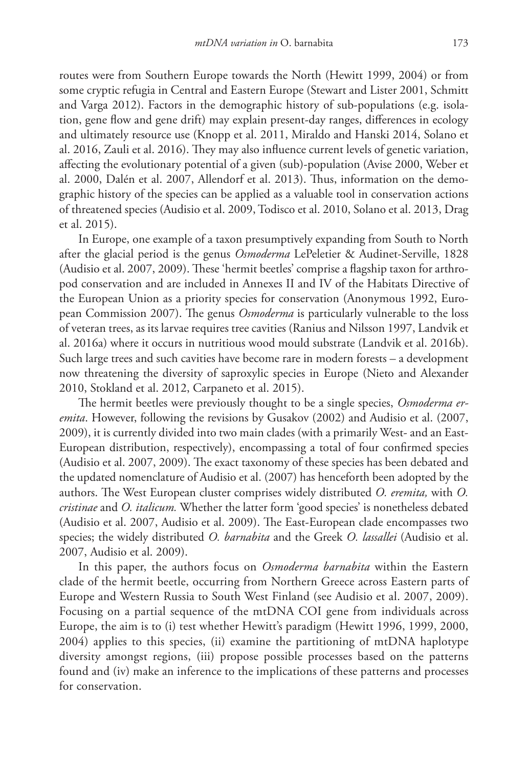routes were from Southern Europe towards the North (Hewitt 1999, 2004) or from some cryptic refugia in Central and Eastern Europe (Stewart and Lister 2001, Schmitt and Varga 2012). Factors in the demographic history of sub-populations (e.g. isolation, gene flow and gene drift) may explain present-day ranges, differences in ecology and ultimately resource use (Knopp et al. 2011, Miraldo and Hanski 2014, Solano et al. 2016, Zauli et al. 2016). They may also influence current levels of genetic variation, affecting the evolutionary potential of a given (sub)-population (Avise 2000, Weber et al. 2000, Dalén et al. 2007, Allendorf et al. 2013). Thus, information on the demographic history of the species can be applied as a valuable tool in conservation actions of threatened species (Audisio et al. 2009, Todisco et al. 2010, Solano et al. 2013, Drag et al. 2015).

In Europe, one example of a taxon presumptively expanding from South to North after the glacial period is the genus *Osmoderma* LePeletier & Audinet-Serville, 1828 (Audisio et al. 2007, 2009). These 'hermit beetles' comprise a flagship taxon for arthropod conservation and are included in Annexes II and IV of the Habitats Directive of the European Union as a priority species for conservation (Anonymous 1992, European Commission 2007). The genus *Osmoderma* is particularly vulnerable to the loss of veteran trees, as its larvae requires tree cavities (Ranius and Nilsson 1997, Landvik et al. 2016a) where it occurs in nutritious wood mould substrate (Landvik et al. 2016b). Such large trees and such cavities have become rare in modern forests – a development now threatening the diversity of saproxylic species in Europe (Nieto and Alexander 2010, Stokland et al. 2012, Carpaneto et al. 2015).

The hermit beetles were previously thought to be a single species, *Osmoderma eremita*. However, following the revisions by Gusakov (2002) and Audisio et al. (2007, 2009), it is currently divided into two main clades (with a primarily West- and an East-European distribution, respectively), encompassing a total of four confirmed species (Audisio et al. 2007, 2009). The exact taxonomy of these species has been debated and the updated nomenclature of Audisio et al. (2007) has henceforth been adopted by the authors. The West European cluster comprises widely distributed *O. eremita,* with *O. cristinae* and *O. italicum.* Whether the latter form 'good species' is nonetheless debated (Audisio et al. 2007, Audisio et al. 2009). The East-European clade encompasses two species; the widely distributed *O. barnabita* and the Greek *O. lassallei* (Audisio et al. 2007, Audisio et al. 2009).

In this paper, the authors focus on *Osmoderma barnabita* within the Eastern clade of the hermit beetle, occurring from Northern Greece across Eastern parts of Europe and Western Russia to South West Finland (see Audisio et al. 2007, 2009). Focusing on a partial sequence of the mtDNA COI gene from individuals across Europe, the aim is to (i) test whether Hewitt's paradigm (Hewitt 1996, 1999, 2000, 2004) applies to this species, (ii) examine the partitioning of mtDNA haplotype diversity amongst regions, (iii) propose possible processes based on the patterns found and (iv) make an inference to the implications of these patterns and processes for conservation.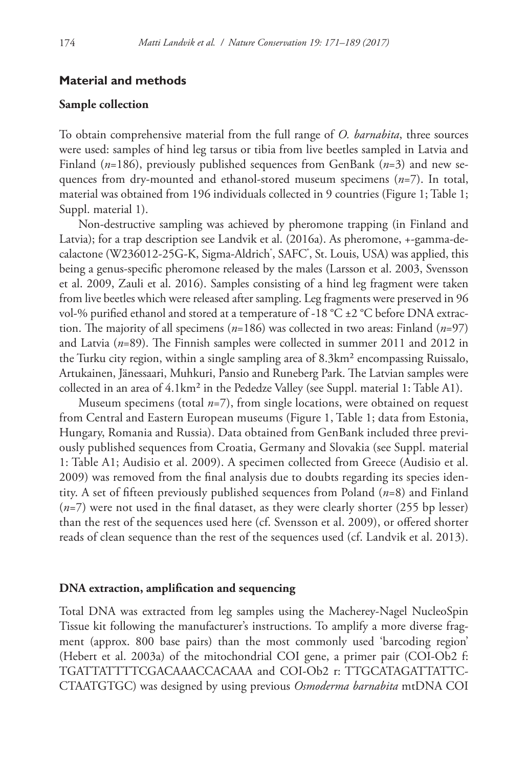#### **Material and methods**

#### **Sample collection**

To obtain comprehensive material from the full range of *O. barnabita*, three sources were used: samples of hind leg tarsus or tibia from live beetles sampled in Latvia and Finland (*n*=186), previously published sequences from GenBank (*n*=3) and new sequences from dry-mounted and ethanol-stored museum specimens (*n*=7). In total, material was obtained from 196 individuals collected in 9 countries (Figure 1; Table 1; Suppl. material 1).

Non-destructive sampling was achieved by pheromone trapping (in Finland and Latvia); for a trap description see Landvik et al. (2016a). As pheromone, +-gamma-decalactone (W236012-25G-K, Sigma-Aldrich<sup>"</sup>, SAFC", St. Louis, USA) was applied, this being a genus-specific pheromone released by the males (Larsson et al. 2003, Svensson et al. 2009, Zauli et al. 2016). Samples consisting of a hind leg fragment were taken from live beetles which were released after sampling. Leg fragments were preserved in 96 vol-% purified ethanol and stored at a temperature of -18 °C ±2 °C before DNA extraction. The majority of all specimens (*n*=186) was collected in two areas: Finland (*n*=97) and Latvia (*n*=89). The Finnish samples were collected in summer 2011 and 2012 in the Turku city region, within a single sampling area of 8.3km² encompassing Ruissalo, Artukainen, Jänessaari, Muhkuri, Pansio and Runeberg Park. The Latvian samples were collected in an area of 4.1km² in the Pededze Valley (see Suppl. material 1: Table A1).

Museum specimens (total *n*=7), from single locations, were obtained on request from Central and Eastern European museums (Figure 1, Table 1; data from Estonia, Hungary, Romania and Russia). Data obtained from GenBank included three previously published sequences from Croatia, Germany and Slovakia (see Suppl. material 1: Table A1; Audisio et al. 2009). A specimen collected from Greece (Audisio et al. 2009) was removed from the final analysis due to doubts regarding its species identity. A set of fifteen previously published sequences from Poland (*n*=8) and Finland (*n*=7) were not used in the final dataset, as they were clearly shorter (255 bp lesser) than the rest of the sequences used here (cf. Svensson et al. 2009), or offered shorter reads of clean sequence than the rest of the sequences used (cf. Landvik et al. 2013).

#### **DNA extraction, amplification and sequencing**

Total DNA was extracted from leg samples using the Macherey-Nagel NucleoSpin Tissue kit following the manufacturer's instructions. To amplify a more diverse fragment (approx. 800 base pairs) than the most commonly used 'barcoding region' (Hebert et al. 2003a) of the mitochondrial COI gene, a primer pair (COI-Ob2 f: TGATTATTTTCGACAAACCACAAA and COI-Ob2 r: TTGCATAGATTATTC-CTAATGTGC) was designed by using previous *Osmoderma barnabita* mtDNA COI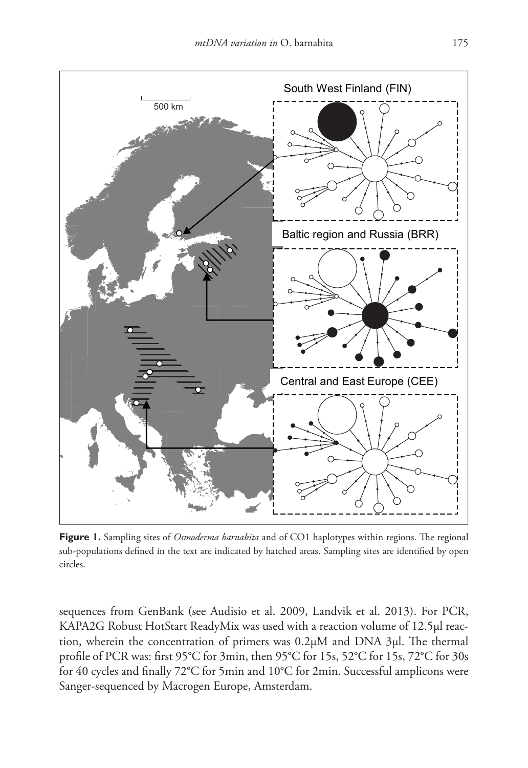

**Figure 1.** Sampling sites of *Osmoderma barnabita* and of CO1 haplotypes within regions. The regional sub-populations defined in the text are indicated by hatched areas. Sampling sites are identified by open circles.

sequences from GenBank (see Audisio et al. 2009, Landvik et al. 2013). For PCR, KAPA2G Robust HotStart ReadyMix was used with a reaction volume of 12.5µl reaction, wherein the concentration of primers was 0.2µM and DNA 3µl. The thermal profile of PCR was: first 95°C for 3min, then 95°C for 15s, 52°C for 15s, 72°C for 30s for 40 cycles and finally 72°C for 5min and 10°C for 2min. Successful amplicons were Sanger-sequenced by Macrogen Europe, Amsterdam.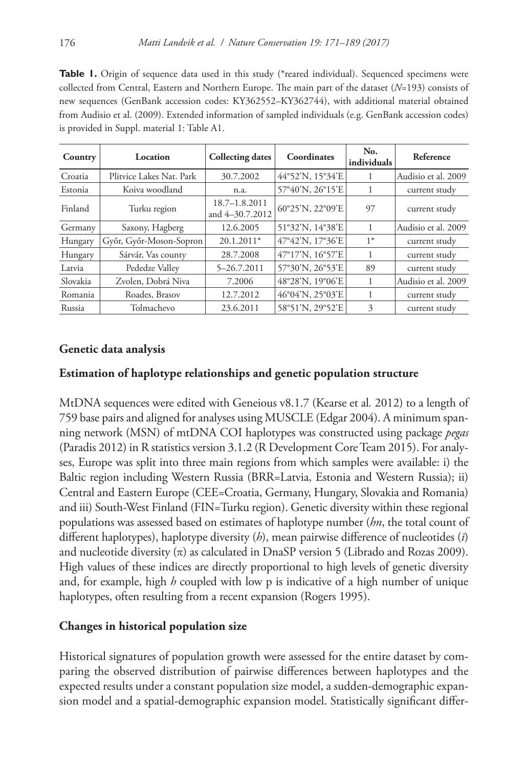**Table 1.** Origin of sequence data used in this study (\*reared individual). Sequenced specimens were collected from Central, Eastern and Northern Europe. The main part of the dataset (*N*=193) consists of new sequences (GenBank accession codes: [KY362552](http://www.ncbi.nlm.nih.gov/nuccore/KY362552)–[KY362744](http://www.ncbi.nlm.nih.gov/nuccore/KY362744)), with additional material obtained from Audisio et al. (2009). Extended information of sampled individuals (e.g. GenBank accession codes) is provided in Suppl. material 1: Table A1.

| Country  | Location                 | <b>Collecting dates</b>              | Coordinates      | No.<br>individuals | Reference           |
|----------|--------------------------|--------------------------------------|------------------|--------------------|---------------------|
| Croatia  | Plitvice Lakes Nat. Park | 30.7.2002                            | 44°52'N, 15°34'E |                    | Audisio et al. 2009 |
| Estonia  | Koiva woodland           | n.a.                                 | 57°40'N, 26°15'E | 1                  | current study       |
| Finland  | Turku region             | $18.7 - 1.8.2011$<br>and 4-30.7.2012 | 60°25'N, 22°09'E | 97                 | current study       |
| Germany  | Saxony, Hagberg          | 12.6.2005                            | 51°32'N, 14°38'E |                    | Audisio et al. 2009 |
| Hungary  | Győr, Győr-Moson-Sopron  | $20.1.2011*$                         | 47°42'N, 17°36'E | $1*$               | current study       |
| Hungary  | Sárvár, Vas county       | 28.7.2008                            | 47°17'N, 16°57'E |                    | current study       |
| Latvia   | Pededze Valley           | 5-26.7.2011                          | 57°30'N, 26°53'E | 89                 | current study       |
| Slovakia | Zvolen, Dobrá Niva       | 7.2006                               | 48°28'N, 19°06'E |                    | Audisio et al. 2009 |
| Romania  | Roades, Brasov           | 12.7.2012                            | 46°04'N, 25°03'E |                    | current study       |
| Russia   | Tolmachevo               | 23.6.2011                            | 58°51'N, 29°52'E | 3                  | current study       |

## **Genetic data analysis**

## **Estimation of haplotype relationships and genetic population structure**

MtDNA sequences were edited with Geneious v8.1.7 (Kearse et al*.* 2012) to a length of 759 base pairs and aligned for analyses using MUSCLE (Edgar 2004). A minimum spanning network (MSN) of mtDNA COI haplotypes was constructed using package *pegas* (Paradis 2012) in R statistics version 3.1.2 (R Development Core Team 2015). For analyses, Europe was split into three main regions from which samples were available: i) the Baltic region including Western Russia (BRR=Latvia, Estonia and Western Russia); ii) Central and Eastern Europe (CEE=Croatia, Germany, Hungary, Slovakia and Romania) and iii) South-West Finland (FIN=Turku region). Genetic diversity within these regional populations was assessed based on estimates of haplotype number (*hn*, the total count of different haplotypes), haplotype diversity (*h*), mean pairwise difference of nucleotides (*ī*) and nucleotide diversity  $(\pi)$  as calculated in DnaSP version 5 (Librado and Rozas 2009). High values of these indices are directly proportional to high levels of genetic diversity and, for example, high *h* coupled with low p is indicative of a high number of unique haplotypes, often resulting from a recent expansion (Rogers 1995).

## **Changes in historical population size**

Historical signatures of population growth were assessed for the entire dataset by comparing the observed distribution of pairwise differences between haplotypes and the expected results under a constant population size model, a sudden-demographic expansion model and a spatial-demographic expansion model. Statistically significant differ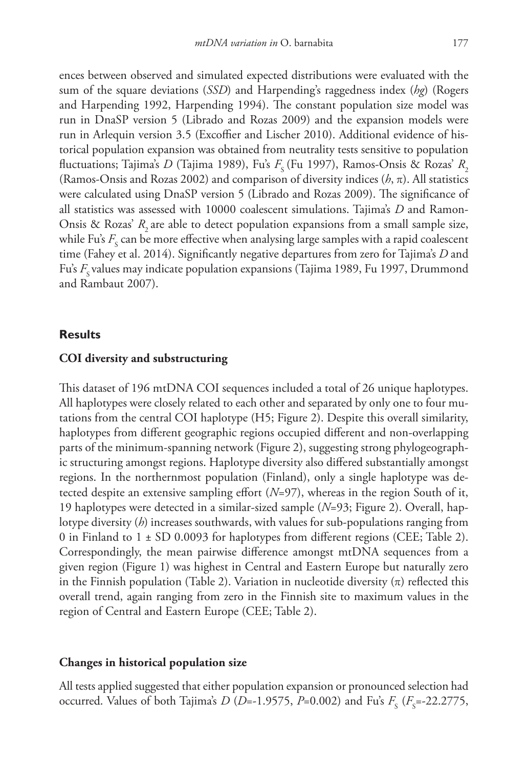ences between observed and simulated expected distributions were evaluated with the sum of the square deviations (*SSD*) and Harpending's raggedness index (*hg*) (Rogers and Harpending 1992, Harpending 1994). The constant population size model was run in DnaSP version 5 (Librado and Rozas 2009) and the expansion models were run in Arlequin version 3.5 (Excoffier and Lischer 2010). Additional evidence of historical population expansion was obtained from neutrality tests sensitive to population fluctuations; Tajima's *D* (Tajima 1989), Fu's  $F_s$  (Fu 1997), Ramos-Onsis & Rozas'  $R_s$ (Ramos-Onsis and Rozas 2002) and comparison of diversity indices (*h*, π). All statistics were calculated using DnaSP version 5 (Librado and Rozas 2009). The significance of all statistics was assessed with 10000 coalescent simulations. Tajima's *D* and Ramon-Onsis & Rozas'  $R$ , are able to detect population expansions from a small sample size, while Fu's  $F_{\rm s}$  can be more effective when analysing large samples with a rapid coalescent time (Fahey et al. 2014). Significantly negative departures from zero for Tajima's *D* and Fu's F<sub>s</sub> values may indicate population expansions (Tajima 1989, Fu 1997, Drummond and Rambaut 2007).

#### **Results**

#### **COI diversity and substructuring**

This dataset of 196 mtDNA COI sequences included a total of 26 unique haplotypes. All haplotypes were closely related to each other and separated by only one to four mutations from the central COI haplotype (H5; Figure 2). Despite this overall similarity, haplotypes from different geographic regions occupied different and non-overlapping parts of the minimum-spanning network (Figure 2), suggesting strong phylogeographic structuring amongst regions. Haplotype diversity also differed substantially amongst regions. In the northernmost population (Finland), only a single haplotype was detected despite an extensive sampling effort (*N*=97), whereas in the region South of it, 19 haplotypes were detected in a similar-sized sample (*N*=93; Figure 2). Overall, haplotype diversity (*h*) increases southwards, with values for sub-populations ranging from 0 in Finland to 1 ± SD 0.0093 for haplotypes from different regions (CEE; Table 2). Correspondingly, the mean pairwise difference amongst mtDNA sequences from a given region (Figure 1) was highest in Central and Eastern Europe but naturally zero in the Finnish population (Table 2). Variation in nucleotide diversity  $(\pi)$  reflected this overall trend, again ranging from zero in the Finnish site to maximum values in the region of Central and Eastern Europe (CEE; Table 2).

#### **Changes in historical population size**

All tests applied suggested that either population expansion or pronounced selection had occurred. Values of both Tajima's *D* (*D*=-1.9575, *P*=0.002) and Fu's  $F_s$  ( $F_s$ =-22.2775,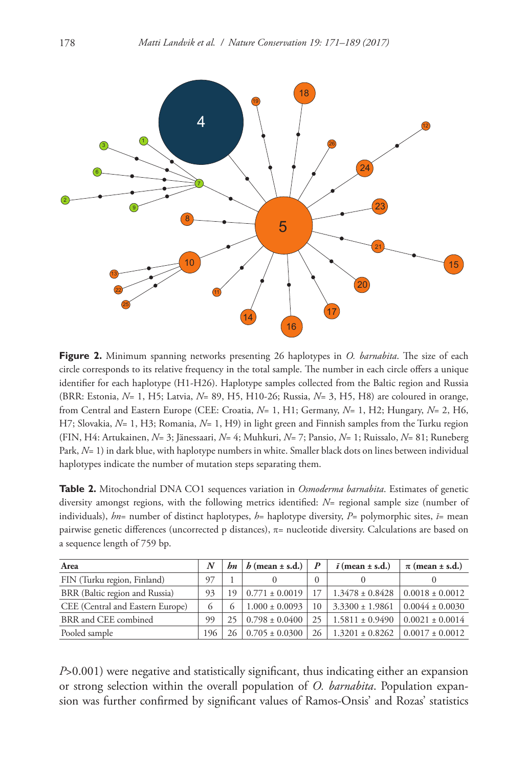

**Figure 2.** Minimum spanning networks presenting 26 haplotypes in *O. barnabita*. The size of each circle corresponds to its relative frequency in the total sample. The number in each circle offers a unique identifier for each haplotype (H1-H26). Haplotype samples collected from the Baltic region and Russia (BRR: Estonia, *N*= 1, H5; Latvia, *N*= 89, H5, H10-26; Russia, *N*= 3, H5, H8) are coloured in orange, from Central and Eastern Europe (CEE: Croatia, *N*= 1, H1; Germany, *N*= 1, H2; Hungary, *N*= 2, H6, H7; Slovakia, *N*= 1, H3; Romania, *N*= 1, H9) in light green and Finnish samples from the Turku region (FIN, H4: Artukainen, *N*= 3; Jänessaari, *N*= 4; Muhkuri, *N*= 7; Pansio, *N*= 1; Ruissalo, *N*= 81; Runeberg Park, *N*= 1) in dark blue, with haplotype numbers in white. Smaller black dots on lines between individual haplotypes indicate the number of mutation steps separating them.

**Table 2.** Mitochondrial DNA CO1 sequences variation in *Osmoderma barnabita*. Estimates of genetic diversity amongst regions, with the following metrics identified: *N*= regional sample size (number of individuals), *hn*= number of distinct haplotypes, *h*= haplotype diversity, *P*= polymorphic sites, *ī*= mean pairwise genetic differences (uncorrected p distances), π= nucleotide diversity. Calculations are based on a sequence length of 759 bp.

| Area                             | N        | bn       | $h$ (mean $\pm$ s.d.)           |    | $\bar{i}$ (mean $\pm$ s.d.) | $\pi$ (mean $\pm$ s.d.) |
|----------------------------------|----------|----------|---------------------------------|----|-----------------------------|-------------------------|
| FIN (Turku region, Finland)      | 97       |          |                                 | 0  |                             |                         |
| BRR (Baltic region and Russia)   | 93       | 19       | $0.771 \pm 0.0019$              |    | $1.3478 \pm 0.8428$         | $0.0018 \pm 0.0012$     |
| CEE (Central and Eastern Europe) | $\sigma$ | $\Omega$ | $1.000 \pm 0.0093$              | 10 | $3.3300 \pm 1.9861$         | $0.0044 \pm 0.0030$     |
| BRR and CEE combined             | 99       |          | $25 \mid 0.798 \pm 0.0400 \mid$ | 25 | $1.5811 \pm 0.9490$         | $0.0021 \pm 0.0014$     |
| Pooled sample                    | 196      |          | $0.705 \pm 0.0300$              | 26 | $1.3201 \pm 0.8262$         | $0.0017 \pm 0.0012$     |

*P*>0.001) were negative and statistically significant, thus indicating either an expansion or strong selection within the overall population of *O. barnabita*. Population expansion was further confirmed by significant values of Ramos-Onsis' and Rozas' statistics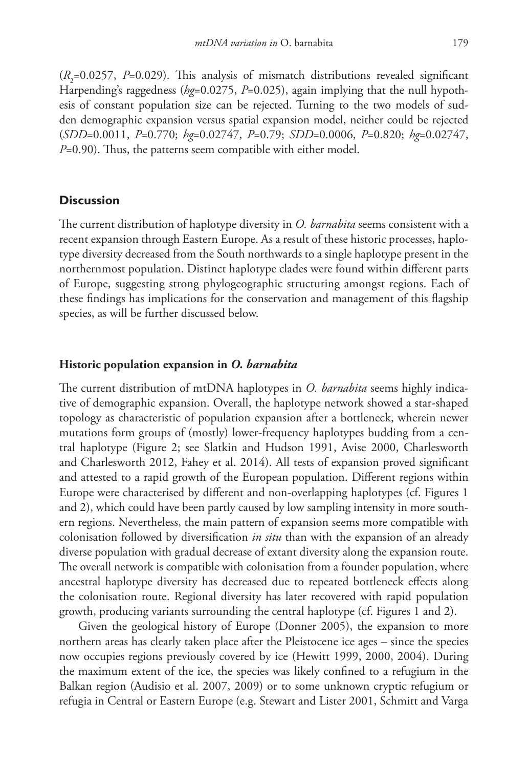$(R<sub>2</sub>=0.0257, P=0.029)$ . This analysis of mismatch distributions revealed significant Harpending's raggedness (*hg*=0.0275, *P*=0.025), again implying that the null hypothesis of constant population size can be rejected. Turning to the two models of sudden demographic expansion versus spatial expansion model, neither could be rejected (*SDD*=0.0011, *P*=0.770; *hg*=0.02747, *P*=0.79; *SDD*=0.0006, *P*=0.820; *hg*=0.02747, *P*=0.90). Thus, the patterns seem compatible with either model.

#### **Discussion**

The current distribution of haplotype diversity in *O. barnabita* seems consistent with a recent expansion through Eastern Europe. As a result of these historic processes, haplotype diversity decreased from the South northwards to a single haplotype present in the northernmost population. Distinct haplotype clades were found within different parts of Europe, suggesting strong phylogeographic structuring amongst regions. Each of these findings has implications for the conservation and management of this flagship species, as will be further discussed below.

#### **Historic population expansion in** *O. barnabita*

The current distribution of mtDNA haplotypes in *O. barnabita* seems highly indicative of demographic expansion. Overall, the haplotype network showed a star-shaped topology as characteristic of population expansion after a bottleneck, wherein newer mutations form groups of (mostly) lower-frequency haplotypes budding from a central haplotype (Figure 2; see Slatkin and Hudson 1991, Avise 2000, Charlesworth and Charlesworth 2012, Fahey et al. 2014). All tests of expansion proved significant and attested to a rapid growth of the European population. Different regions within Europe were characterised by different and non-overlapping haplotypes (cf. Figures 1 and 2), which could have been partly caused by low sampling intensity in more southern regions. Nevertheless, the main pattern of expansion seems more compatible with colonisation followed by diversification *in situ* than with the expansion of an already diverse population with gradual decrease of extant diversity along the expansion route. The overall network is compatible with colonisation from a founder population, where ancestral haplotype diversity has decreased due to repeated bottleneck effects along the colonisation route. Regional diversity has later recovered with rapid population growth, producing variants surrounding the central haplotype (cf. Figures 1 and 2).

Given the geological history of Europe (Donner 2005), the expansion to more northern areas has clearly taken place after the Pleistocene ice ages – since the species now occupies regions previously covered by ice (Hewitt 1999, 2000, 2004). During the maximum extent of the ice, the species was likely confined to a refugium in the Balkan region (Audisio et al. 2007, 2009) or to some unknown cryptic refugium or refugia in Central or Eastern Europe (e.g. Stewart and Lister 2001, Schmitt and Varga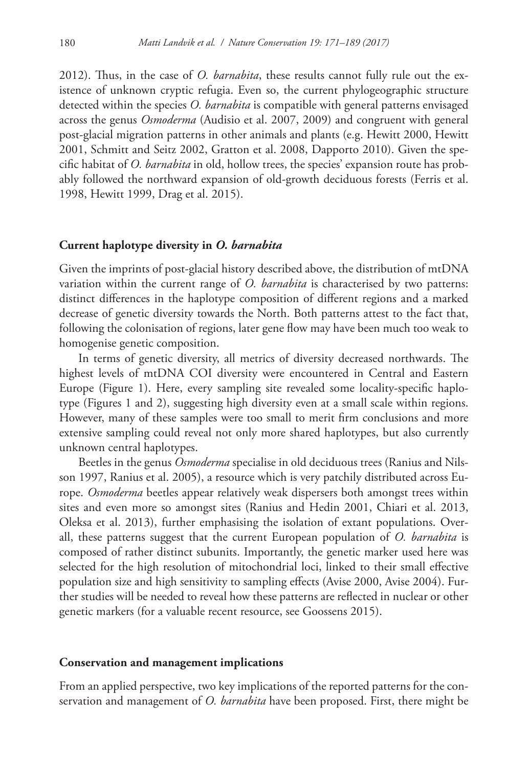2012). Thus, in the case of *O. barnabita*, these results cannot fully rule out the existence of unknown cryptic refugia. Even so, the current phylogeographic structure detected within the species *O. barnabita* is compatible with general patterns envisaged across the genus *Osmoderma* (Audisio et al. 2007, 2009) and congruent with general post-glacial migration patterns in other animals and plants (e.g. Hewitt 2000, Hewitt 2001, Schmitt and Seitz 2002, Gratton et al. 2008, Dapporto 2010). Given the specific habitat of *O. barnabita* in old, hollow trees, the species' expansion route has probably followed the northward expansion of old-growth deciduous forests (Ferris et al. 1998, Hewitt 1999, Drag et al. 2015).

#### **Current haplotype diversity in** *O. barnabita*

Given the imprints of post-glacial history described above, the distribution of mtDNA variation within the current range of *O. barnabita* is characterised by two patterns: distinct differences in the haplotype composition of different regions and a marked decrease of genetic diversity towards the North. Both patterns attest to the fact that, following the colonisation of regions, later gene flow may have been much too weak to homogenise genetic composition.

In terms of genetic diversity, all metrics of diversity decreased northwards. The highest levels of mtDNA COI diversity were encountered in Central and Eastern Europe (Figure 1). Here, every sampling site revealed some locality-specific haplotype (Figures 1 and 2), suggesting high diversity even at a small scale within regions. However, many of these samples were too small to merit firm conclusions and more extensive sampling could reveal not only more shared haplotypes, but also currently unknown central haplotypes.

Beetles in the genus *Osmoderma* specialise in old deciduous trees (Ranius and Nilsson 1997, Ranius et al. 2005), a resource which is very patchily distributed across Europe. *Osmoderma* beetles appear relatively weak dispersers both amongst trees within sites and even more so amongst sites (Ranius and Hedin 2001, Chiari et al. 2013, Oleksa et al. 2013), further emphasising the isolation of extant populations. Overall, these patterns suggest that the current European population of *O. barnabita* is composed of rather distinct subunits. Importantly, the genetic marker used here was selected for the high resolution of mitochondrial loci, linked to their small effective population size and high sensitivity to sampling effects (Avise 2000, Avise 2004). Further studies will be needed to reveal how these patterns are reflected in nuclear or other genetic markers (for a valuable recent resource, see Goossens 2015).

#### **Conservation and management implications**

From an applied perspective, two key implications of the reported patterns for the conservation and management of *O. barnabita* have been proposed. First, there might be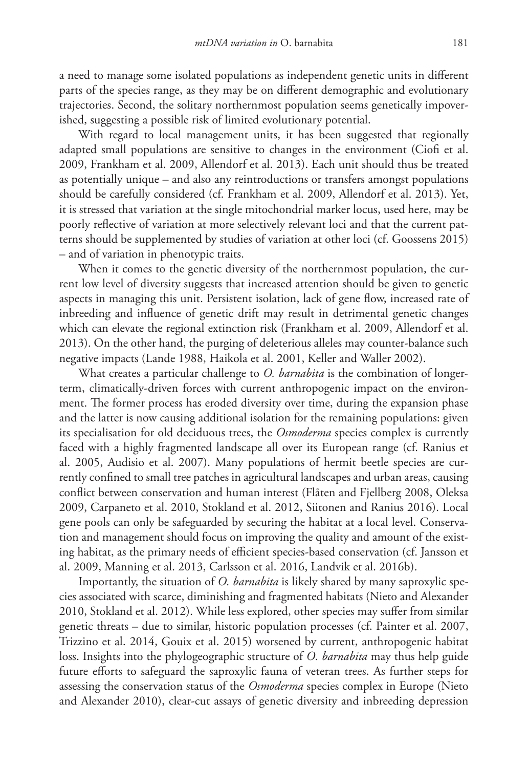a need to manage some isolated populations as independent genetic units in different parts of the species range, as they may be on different demographic and evolutionary trajectories. Second, the solitary northernmost population seems genetically impoverished, suggesting a possible risk of limited evolutionary potential.

With regard to local management units, it has been suggested that regionally adapted small populations are sensitive to changes in the environment (Ciofi et al. 2009, Frankham et al. 2009, Allendorf et al. 2013). Each unit should thus be treated as potentially unique – and also any reintroductions or transfers amongst populations should be carefully considered (cf. Frankham et al. 2009, Allendorf et al. 2013). Yet, it is stressed that variation at the single mitochondrial marker locus, used here, may be poorly reflective of variation at more selectively relevant loci and that the current patterns should be supplemented by studies of variation at other loci (cf. Goossens 2015) – and of variation in phenotypic traits.

When it comes to the genetic diversity of the northernmost population, the current low level of diversity suggests that increased attention should be given to genetic aspects in managing this unit. Persistent isolation, lack of gene flow, increased rate of inbreeding and influence of genetic drift may result in detrimental genetic changes which can elevate the regional extinction risk (Frankham et al. 2009, Allendorf et al. 2013). On the other hand, the purging of deleterious alleles may counter-balance such negative impacts (Lande 1988, Haikola et al. 2001, Keller and Waller 2002).

What creates a particular challenge to *O. barnabita* is the combination of longerterm, climatically-driven forces with current anthropogenic impact on the environment. The former process has eroded diversity over time, during the expansion phase and the latter is now causing additional isolation for the remaining populations: given its specialisation for old deciduous trees, the *Osmoderma* species complex is currently faced with a highly fragmented landscape all over its European range (cf. Ranius et al. 2005, Audisio et al. 2007). Many populations of hermit beetle species are currently confined to small tree patches in agricultural landscapes and urban areas, causing conflict between conservation and human interest (Flåten and Fjellberg 2008, Oleksa 2009, Carpaneto et al. 2010, Stokland et al. 2012, Siitonen and Ranius 2016). Local gene pools can only be safeguarded by securing the habitat at a local level. Conservation and management should focus on improving the quality and amount of the existing habitat, as the primary needs of efficient species-based conservation (cf. Jansson et al. 2009, Manning et al. 2013, Carlsson et al. 2016, Landvik et al. 2016b).

Importantly, the situation of *O. barnabita* is likely shared by many saproxylic species associated with scarce, diminishing and fragmented habitats (Nieto and Alexander 2010, Stokland et al. 2012). While less explored, other species may suffer from similar genetic threats – due to similar, historic population processes (cf. Painter et al. 2007, Trizzino et al. 2014, Gouix et al. 2015) worsened by current, anthropogenic habitat loss. Insights into the phylogeographic structure of *O. barnabita* may thus help guide future efforts to safeguard the saproxylic fauna of veteran trees. As further steps for assessing the conservation status of the *Osmoderma* species complex in Europe (Nieto and Alexander 2010), clear-cut assays of genetic diversity and inbreeding depression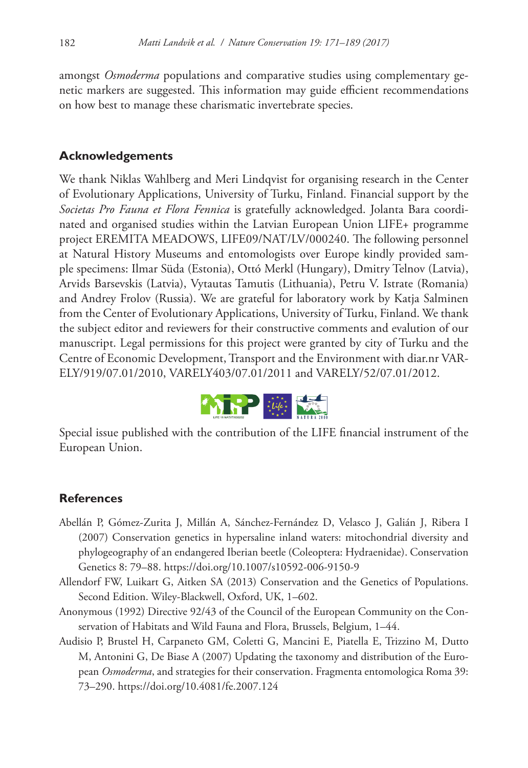amongst *Osmoderma* populations and comparative studies using complementary genetic markers are suggested. This information may guide efficient recommendations on how best to manage these charismatic invertebrate species.

# **Acknowledgements**

We thank Niklas Wahlberg and Meri Lindqvist for organising research in the Center of Evolutionary Applications, University of Turku, Finland. Financial support by the *Societas Pro Fauna et Flora Fennica* is gratefully acknowledged. Jolanta Bara coordinated and organised studies within the Latvian European Union LIFE+ programme project EREMITA MEADOWS, LIFE09/NAT/LV/000240. The following personnel at Natural History Museums and entomologists over Europe kindly provided sample specimens: Ilmar Süda (Estonia), Ottó Merkl (Hungary), Dmitry Telnov (Latvia), Arvids Barsevskis (Latvia), Vytautas Tamutis (Lithuania), Petru V. Istrate (Romania) and Andrey Frolov (Russia). We are grateful for laboratory work by Katja Salminen from the Center of Evolutionary Applications, University of Turku, Finland. We thank the subject editor and reviewers for their constructive comments and evalution of our manuscript. Legal permissions for this project were granted by city of Turku and the Centre of Economic Development, Transport and the Environment with diar.nr VAR-ELY/919/07.01/2010, VARELY403/07.01/2011 and VARELY/52/07.01/2012.



Special issue published with the contribution of the LIFE financial instrument of the European Union.

## **References**

- Abellán P, Gómez-Zurita J, Millán A, Sánchez-Fernández D, Velasco J, Galián J, Ribera I (2007) Conservation genetics in hypersaline inland waters: mitochondrial diversity and phylogeography of an endangered Iberian beetle (Coleoptera: Hydraenidae). Conservation Genetics 8: 79–88.<https://doi.org/10.1007/s10592-006-9150-9>
- Allendorf FW, Luikart G, Aitken SA (2013) Conservation and the Genetics of Populations. Second Edition. Wiley-Blackwell, Oxford, UK, 1–602.
- Anonymous (1992) Directive 92/43 of the Council of the European Community on the Conservation of Habitats and Wild Fauna and Flora, Brussels, Belgium, 1–44.
- Audisio P, Brustel H, Carpaneto GM, Coletti G, Mancini E, Piatella E, Trizzino M, Dutto M, Antonini G, De Biase A (2007) Updating the taxonomy and distribution of the European *Osmoderma*, and strategies for their conservation. Fragmenta entomologica Roma 39: 73–290.<https://doi.org/10.4081/fe.2007.124>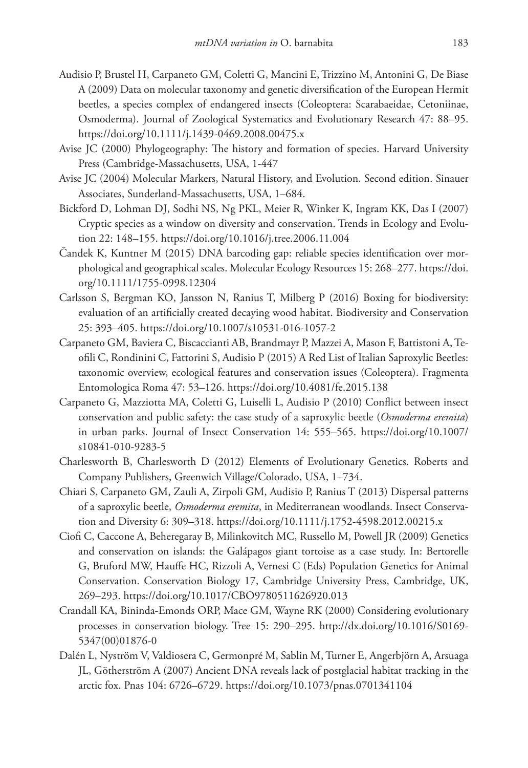- Audisio P, Brustel H, Carpaneto GM, Coletti G, Mancini E, Trizzino M, Antonini G, De Biase A (2009) Data on molecular taxonomy and genetic diversification of the European Hermit beetles, a species complex of endangered insects (Coleoptera: Scarabaeidae, Cetoniinae, Osmoderma). Journal of Zoological Systematics and Evolutionary Research 47: 88–95. <https://doi.org/10.1111/j.1439-0469.2008.00475.x>
- Avise JC (2000) Phylogeography: The history and formation of species. Harvard University Press (Cambridge-Massachusetts, USA, 1-447
- Avise JC (2004) Molecular Markers, Natural History, and Evolution. Second edition. Sinauer Associates, Sunderland-Massachusetts, USA, 1–684.
- Bickford D, Lohman DJ, Sodhi NS, Ng PKL, Meier R, Winker K, Ingram KK, Das I (2007) Cryptic species as a window on diversity and conservation. Trends in Ecology and Evolution 22: 148–155. <https://doi.org/10.1016/j.tree.2006.11.004>
- Čandek K, Kuntner M (2015) DNA barcoding gap: reliable species identification over morphological and geographical scales. Molecular Ecology Resources 15: 268–277. [https://doi.](https://doi.org/10.1111/1755-0998.12304) [org/10.1111/1755-0998.12304](https://doi.org/10.1111/1755-0998.12304)
- Carlsson S, Bergman KO, Jansson N, Ranius T, Milberg P (2016) Boxing for biodiversity: evaluation of an artificially created decaying wood habitat. Biodiversity and Conservation 25: 393–405.<https://doi.org/10.1007/s10531-016-1057-2>
- Carpaneto GM, Baviera C, Biscaccianti AB, Brandmayr P, Mazzei A, Mason F, Battistoni A, Teofili C, Rondinini C, Fattorini S, Audisio P (2015) A Red List of Italian Saproxylic Beetles: taxonomic overview, ecological features and conservation issues (Coleoptera). Fragmenta Entomologica Roma 47: 53–126. <https://doi.org/10.4081/fe.2015.138>
- Carpaneto G, Mazziotta MA, Coletti G, Luiselli L, Audisio P (2010) Conflict between insect conservation and public safety: the case study of a saproxylic beetle (*Osmoderma eremita*) in urban parks. Journal of Insect Conservation 14: 555–565. [https://doi.org/10.1007/](https://doi.org/10.1007/s10841-010-9283-5) [s10841-010-9283-5](https://doi.org/10.1007/s10841-010-9283-5)
- Charlesworth B, Charlesworth D (2012) Elements of Evolutionary Genetics. Roberts and Company Publishers, Greenwich Village/Colorado, USA, 1–734.
- Chiari S, Carpaneto GM, Zauli A, Zirpoli GM, Audisio P, Ranius T (2013) Dispersal patterns of a saproxylic beetle, *Osmoderma eremita*, in Mediterranean woodlands. Insect Conservation and Diversity 6: 309–318.<https://doi.org/10.1111/j.1752-4598.2012.00215.x>
- Ciofi C, Caccone A, Beheregaray B, Milinkovitch MC, Russello M, Powell JR (2009) Genetics and conservation on islands: the Galápagos giant tortoise as a case study. In: Bertorelle G, Bruford MW, Hauffe HC, Rizzoli A, Vernesi C (Eds) Population Genetics for Animal Conservation. Conservation Biology 17, Cambridge University Press, Cambridge, UK, 269–293.<https://doi.org/10.1017/CBO9780511626920.013>
- Crandall KA, Bininda-Emonds ORP, Mace GM, Wayne RK (2000) Considering evolutionary processes in conservation biology. Tree 15: 290–295. [http://dx.doi.org/10.1016/S0169-](http://dx.doi.org/10.1016/S0169-5347(00)01876-0) [5347\(00\)01876-0](http://dx.doi.org/10.1016/S0169-5347(00)01876-0)
- Dalén L, Nyström V, Valdiosera C, Germonpré M, Sablin M, Turner E, Angerbjörn A, Arsuaga JL, Götherström A (2007) Ancient DNA reveals lack of postglacial habitat tracking in the arctic fox. Pnas 104: 6726–6729.<https://doi.org/10.1073/pnas.0701341104>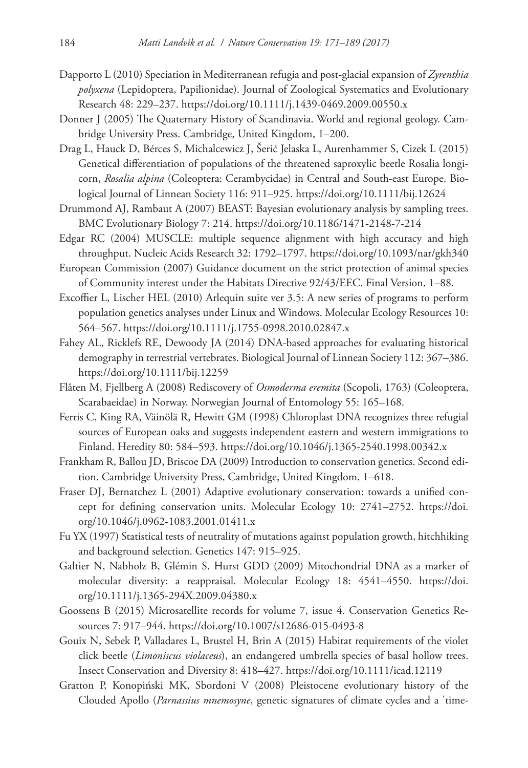- Dapporto L (2010) Speciation in Mediterranean refugia and post-glacial expansion of *Zyrenthia polyxena* (Lepidoptera, Papilionidae). Journal of Zoological Systematics and Evolutionary Research 48: 229–237. <https://doi.org/10.1111/j.1439-0469.2009.00550.x>
- Donner J (2005) The Quaternary History of Scandinavia. World and regional geology. Cambridge University Press. Cambridge, United Kingdom, 1–200.
- Drag L, Hauck D, Bérces S, Michalcewicz J, Šerić Jelaska L, Aurenhammer S, Cizek L (2015) Genetical differentiation of populations of the threatened saproxylic beetle Rosalia longicorn, *Rosalia alpina* (Coleoptera: Cerambycidae) in Central and South-east Europe. Biological Journal of Linnean Society 116: 911–925.<https://doi.org/10.1111/bij.12624>
- Drummond AJ, Rambaut A (2007) BEAST: Bayesian evolutionary analysis by sampling trees. BMC Evolutionary Biology 7: 214. <https://doi.org/10.1186/1471-2148-7-214>
- Edgar RC (2004) MUSCLE: multiple sequence alignment with high accuracy and high throughput. Nucleic Acids Research 32: 1792–1797. <https://doi.org/10.1093/nar/gkh340>
- European Commission (2007) Guidance document on the strict protection of animal species of Community interest under the Habitats Directive 92/43/EEC. Final Version, 1–88.
- Excoffier L, Lischer HEL (2010) Arlequin suite ver 3.5: A new series of programs to perform population genetics analyses under Linux and Windows. Molecular Ecology Resources 10: 564–567.<https://doi.org/10.1111/j.1755-0998.2010.02847.x>
- Fahey AL, Ricklefs RE, Dewoody JA (2014) DNA-based approaches for evaluating historical demography in terrestrial vertebrates. Biological Journal of Linnean Society 112: 367–386. <https://doi.org/10.1111/bij.12259>
- Flåten M, Fjellberg A (2008) Rediscovery of *Osmoderma eremita* (Scopoli, 1763) (Coleoptera, Scarabaeidae) in Norway. Norwegian Journal of Entomology 55: 165–168.
- Ferris C, King RA, Väinölä R, Hewitt GM (1998) Chloroplast DNA recognizes three refugial sources of European oaks and suggests independent eastern and western immigrations to Finland. Heredity 80: 584–593. <https://doi.org/10.1046/j.1365-2540.1998.00342.x>
- Frankham R, Ballou JD, Briscoe DA (2009) Introduction to conservation genetics. Second edition. Cambridge University Press, Cambridge, United Kingdom, 1–618.
- Fraser DJ, Bernatchez L (2001) Adaptive evolutionary conservation: towards a unified concept for defining conservation units. Molecular Ecology 10: 2741–2752. [https://doi.](https://doi.org/10.1046/j.0962-1083.2001.01411.x) [org/10.1046/j.0962-1083.2001.01411.x](https://doi.org/10.1046/j.0962-1083.2001.01411.x)
- Fu YX (1997) Statistical tests of neutrality of mutations against population growth, hitchhiking and background selection. Genetics 147: 915–925.
- Galtier N, Nabholz B, Glémin S, Hurst GDD (2009) Mitochondrial DNA as a marker of molecular diversity: a reappraisal. Molecular Ecology 18: 4541–4550. [https://doi.](https://doi.org/10.1111/j.1365-294X.2009.04380.x) [org/10.1111/j.1365-294X.2009.04380.x](https://doi.org/10.1111/j.1365-294X.2009.04380.x)
- Goossens B (2015) Microsatellite records for volume 7, issue 4. Conservation Genetics Resources 7: 917–944. <https://doi.org/10.1007/s12686-015-0493-8>
- Gouix N, Sebek P, Valladares L, Brustel H, Brin A (2015) Habitat requirements of the violet click beetle (*Limoniscus violaceus*), an endangered umbrella species of basal hollow trees. Insect Conservation and Diversity 8: 418–427.<https://doi.org/10.1111/icad.12119>
- Gratton P, Konopiński MK, Sbordoni V (2008) Pleistocene evolutionary history of the Clouded Apollo (*Parnassius mnemosyne*, genetic signatures of climate cycles and a 'time-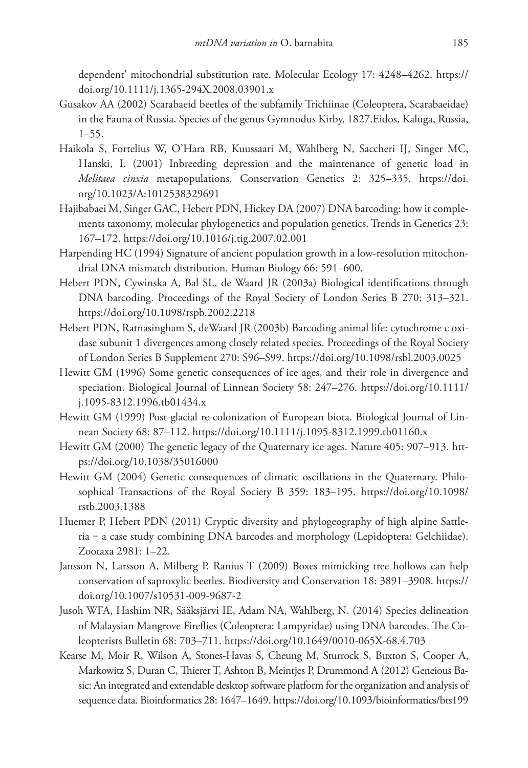dependent' mitochondrial substitution rate. Molecular Ecology 17: 4248–4262. [https://](https://doi.org/10.1111/j.1365-294X.2008.03901.x) [doi.org/10.1111/j.1365-294X.2008.03901.x](https://doi.org/10.1111/j.1365-294X.2008.03901.x)

- Gusakov AA (2002) Scarabaeid beetles of the subfamily Trichiinae (Coleoptera, Scarabaeidae) in the Fauna of Russia. Species of the genus Gymnodus Kirby, 1827.Eidos, Kaluga, Russia, 1–55.
- Haikola S, Fortelius W, O'Hara RB, Kuussaari M, Wahlberg N, Saccheri IJ, Singer MC, Hanski, I. (2001) Inbreeding depression and the maintenance of genetic load in *Melitaea cinxia* metapopulations. Conservation Genetics 2: 325–335. [https://doi.](https://doi.org/10.1023/A:1012538329691) [org/10.1023/A:1012538329691](https://doi.org/10.1023/A:1012538329691)
- Hajibabaei M, Singer GAC, Hebert PDN, Hickey DA (2007) DNA barcoding: how it complements taxonomy, molecular phylogenetics and population genetics. Trends in Genetics 23: 167–172.<https://doi.org/10.1016/j.tig.2007.02.001>
- Harpending HC (1994) Signature of ancient population growth in a low-resolution mitochondrial DNA mismatch distribution. Human Biology 66: 591–600.
- Hebert PDN, Cywinska A, Bal SL, de Waard JR (2003a) Biological identifications through DNA barcoding. Proceedings of the Royal Society of London Series B 270: 313–321. <https://doi.org/10.1098/rspb.2002.2218>
- Hebert PDN, Ratnasingham S, deWaard JR (2003b) Barcoding animal life: cytochrome c oxidase subunit 1 divergences among closely related species. Proceedings of the Royal Society of London Series B Supplement 270: S96–S99. <https://doi.org/10.1098/rsbl.2003.0025>
- Hewitt GM (1996) Some genetic consequences of ice ages, and their role in divergence and speciation. Biological Journal of Linnean Society 58: 247–276. [https://doi.org/10.1111/](https://doi.org/10.1111/j.10%C2%AD95-8312.1996.tb01434.x) [j.1095-8312.1996.tb01434.x](https://doi.org/10.1111/j.10%C2%AD95-8312.1996.tb01434.x)
- Hewitt GM (1999) Post-glacial re-colonization of European biota. Biological Journal of Linnean Society 68: 87–112. <https://doi.org/10.1111/j.1095-8312.1999.tb01160.x>
- Hewitt GM (2000) The genetic legacy of the Quaternary ice ages. Nature 405: 907–913. [htt](https://doi.org/10.1038/35016000)[ps://doi.org/10.1038/35016000](https://doi.org/10.1038/35016000)
- Hewitt GM (2004) Genetic consequences of climatic oscillations in the Quaternary. Philosophical Transactions of the Royal Society B 359: 183–195. [https://doi.org/10.1098/](https://doi.org/10.1098/rstb.2003.1388) [rstb.2003.1388](https://doi.org/10.1098/rstb.2003.1388)
- Huemer P, Hebert PDN (2011) Cryptic diversity and phylogeography of high alpine Sattleria ‒ a case study combining DNA barcodes and morphology (Lepidoptera: Gelchiidae). Zootaxa 2981: 1–22.
- Jansson N, Larsson A, Milberg P, Ranius T (2009) Boxes mimicking tree hollows can help conservation of saproxylic beetles. Biodiversity and Conservation 18: 3891–3908. [https://](https://doi.org/10.1007/s10531-009-9687-2) [doi.org/10.1007/s10531-009-9687-2](https://doi.org/10.1007/s10531-009-9687-2)
- Jusoh WFA, Hashim NR, Sääksjärvi IE, Adam NA, Wahlberg, N. (2014) Species delineation of Malaysian Mangrove Fireflies (Coleoptera: Lampyridae) using DNA barcodes. The Coleopterists Bulletin 68: 703–711.<https://doi.org/10.1649/0010-065X-68.4.703>
- Kearse M, Moir R, Wilson A, Stones-Havas S, Cheung M, Sturrock S, Buxton S, Cooper A, Markowitz S, Duran C, Thierer T, Ashton B, Meintjes P, Drummond A (2012) Geneious Basic: An integrated and extendable desktop software platform for the organization and analysis of sequence data. Bioinformatics 28: 1647–1649.<https://doi.org/10.1093/bioinformatics/bts199>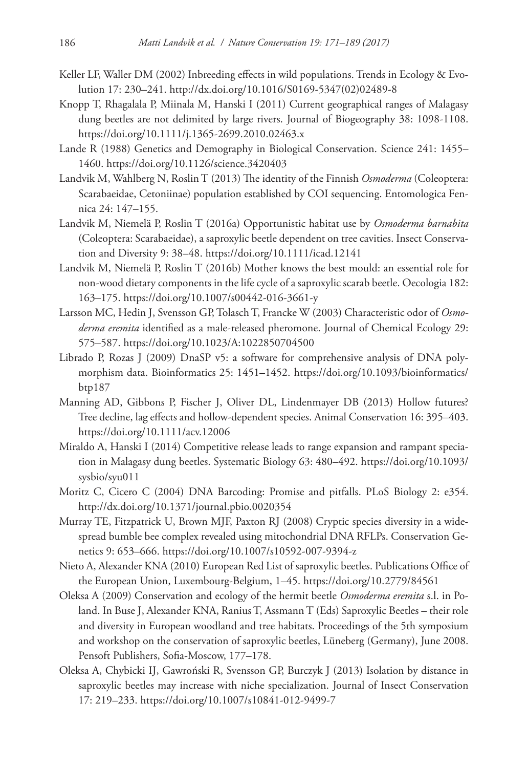- Keller LF, Waller DM (2002) Inbreeding effects in wild populations. Trends in Ecology & Evolution 17: 230–241. [http://dx.doi.org/10.1016/S0169-5347\(02\)02489-8](http://dx.doi.org/10.1016/S0169-5347(02)02489-8)
- Knopp T, Rhagalala P, Miinala M, Hanski I (2011) Current geographical ranges of Malagasy dung beetles are not delimited by large rivers. Journal of Biogeography 38: 1098-1108. <https://doi.org/10.1111/j.1365-2699.2010.02463.x>
- Lande R (1988) Genetics and Demography in Biological Conservation. Science 241: 1455– 1460.<https://doi.org/10.1126/science.3420403>
- Landvik M, Wahlberg N, Roslin T (2013) The identity of the Finnish *Osmoderma* (Coleoptera: Scarabaeidae, Cetoniinae) population established by COI sequencing. Entomologica Fennica 24: 147–155.
- Landvik M, Niemelä P, Roslin T (2016a) Opportunistic habitat use by *Osmoderma barnabita* (Coleoptera: Scarabaeidae), a saproxylic beetle dependent on tree cavities. Insect Conservation and Diversity 9: 38–48.<https://doi.org/10.1111/icad.12141>
- Landvik M, Niemelä P, Roslin T (2016b) Mother knows the best mould: an essential role for non-wood dietary components in the life cycle of a saproxylic scarab beetle. Oecologia 182: 163–175.<https://doi.org/10.1007/s00442-016-3661-y>
- Larsson MC, Hedin J, Svensson GP, Tolasch T, Francke W (2003) Characteristic odor of *Osmoderma eremita* identified as a male-released pheromone. Journal of Chemical Ecology 29: 575–587.<https://doi.org/10.1023/A:1022850704500>
- Librado P, Rozas J (2009) DnaSP v5: a software for comprehensive analysis of DNA polymorphism data. Bioinformatics 25: 1451–1452. [https://doi.org/10.1093/bioinformatics/](https://doi.org/10.1093/bioinformatics/btp187) [btp187](https://doi.org/10.1093/bioinformatics/btp187)
- Manning AD, Gibbons P, Fischer J, Oliver DL, Lindenmayer DB (2013) Hollow futures? Tree decline, lag effects and hollow-dependent species. Animal Conservation 16: 395–403. <https://doi.org/10.1111/acv.12006>
- Miraldo A, Hanski I (2014) Competitive release leads to range expansion and rampant speciation in Malagasy dung beetles. Systematic Biology 63: 480–492. [https://doi.org/10.1093/](https://doi.org/10.1093/sysbio/syu011) [sysbio/syu011](https://doi.org/10.1093/sysbio/syu011)
- Moritz C, Cicero C (2004) DNA Barcoding: Promise and pitfalls. PLoS Biology 2: e354. <http://dx.doi.org/10.1371/journal.pbio.0020354>
- Murray TE, Fitzpatrick U, Brown MJF, Paxton RJ (2008) Cryptic species diversity in a widespread bumble bee complex revealed using mitochondrial DNA RFLPs. Conservation Genetics 9: 653–666.<https://doi.org/10.1007/s10592-007-9394-z>
- Nieto A, Alexander KNA (2010) European Red List of saproxylic beetles. Publications Office of the European Union, Luxembourg-Belgium, 1–45. <https://doi.org/10.2779/84561>
- Oleksa A (2009) Conservation and ecology of the hermit beetle *Osmoderma eremita* s.l. in Poland. In Buse J, Alexander KNA, Ranius T, Assmann T (Eds) Saproxylic Beetles – their role and diversity in European woodland and tree habitats. Proceedings of the 5th symposium and workshop on the conservation of saproxylic beetles, Lüneberg (Germany), June 2008. Pensoft Publishers, Sofia-Moscow, 177–178.
- Oleksa A, Chybicki IJ, Gawroński R, Svensson GP, Burczyk J (2013) Isolation by distance in saproxylic beetles may increase with niche specialization. Journal of Insect Conservation 17: 219–233.<https://doi.org/10.1007/s10841-012-9499-7>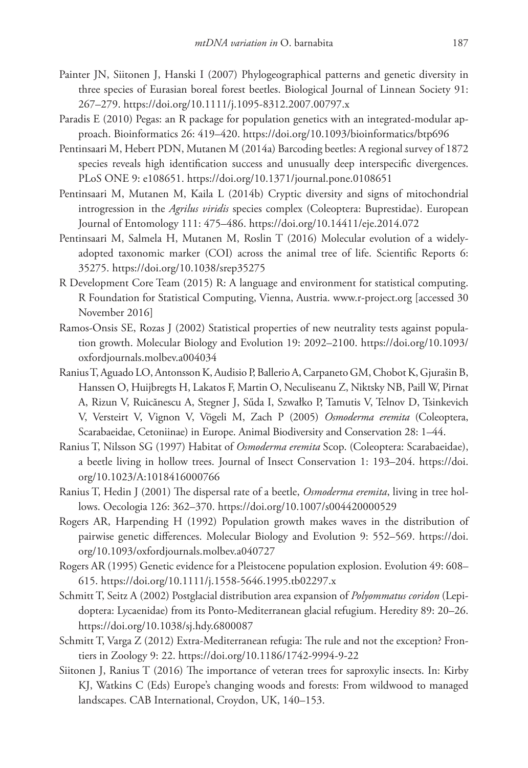- Painter JN, Siitonen J, Hanski I (2007) Phylogeographical patterns and genetic diversity in three species of Eurasian boreal forest beetles. Biological Journal of Linnean Society 91: 267–279.<https://doi.org/10.1111/j.1095-8312.2007.00797.x>
- Paradis E (2010) Pegas: an R package for population genetics with an integrated-modular approach. Bioinformatics 26: 419–420.<https://doi.org/10.1093/bioinformatics/btp696>
- Pentinsaari M, Hebert PDN, Mutanen M (2014a) Barcoding beetles: A regional survey of 1872 species reveals high identification success and unusually deep interspecific divergences. PLoS ONE 9: e108651. <https://doi.org/10.1371/journal.pone.0108651>
- Pentinsaari M, Mutanen M, Kaila L (2014b) Cryptic diversity and signs of mitochondrial introgression in the *Agrilus viridis* species complex (Coleoptera: Buprestidae). European Journal of Entomology 111: 475–486. <https://doi.org/10.14411/eje.2014.072>
- Pentinsaari M, Salmela H, Mutanen M, Roslin T (2016) Molecular evolution of a widelyadopted taxonomic marker (COI) across the animal tree of life. Scientific Reports 6: 35275.<https://doi.org/10.1038/srep35275>
- R Development Core Team (2015) R: A language and environment for statistical computing. R Foundation for Statistical Computing, Vienna, Austria. [www.r-project.org](http://www.r-project.org) [accessed 30 November 2016]
- Ramos-Onsis SE, Rozas J (2002) Statistical properties of new neutrality tests against population growth. Molecular Biology and Evolution 19: 2092–2100. [https://doi.org/10.1093/](https://doi.org/10.1093/oxfordjournals.molbev.a004034) [oxfordjournals.molbev.a004034](https://doi.org/10.1093/oxfordjournals.molbev.a004034)
- Ranius T, Aguado LO, Antonsson K, Audisio P, Ballerio A, Carpaneto GM, Chobot K, Gjurašin B, Hanssen O, Huijbregts H, Lakatos F, Martin O, Neculiseanu Z, Niktsky NB, Paill W, Pirnat A, Rizun V, Ruicănescu A, Stegner J, Sűda I, Szwałko P, Tamutis V, Telnov D, Tsinkevich V, Versteirt V, Vignon V, Vögeli M, Zach P (2005) *Osmoderma eremita* (Coleoptera, Scarabaeidae, Cetoniinae) in Europe. Animal Biodiversity and Conservation 28: 1–44.
- Ranius T, Nilsson SG (1997) Habitat of *Osmoderma eremita* Scop. (Coleoptera: Scarabaeidae), a beetle living in hollow trees. Journal of Insect Conservation 1: 193–204. [https://doi.](https://doi.org/10.1023/A:1018416000766) [org/10.1023/A:1018416000766](https://doi.org/10.1023/A:1018416000766)
- Ranius T, Hedin J (2001) The dispersal rate of a beetle, *Osmoderma eremita*, living in tree hollows. Oecologia 126: 362–370.<https://doi.org/10.1007/s004420000529>
- Rogers AR, Harpending H (1992) Population growth makes waves in the distribution of pairwise genetic differences. Molecular Biology and Evolution 9: 552–569. [https://doi.](https://doi.org/10.1093/oxfordjournals.molbev.a040727) [org/10.1093/oxfordjournals.molbev.a040727](https://doi.org/10.1093/oxfordjournals.molbev.a040727)
- Rogers AR (1995) Genetic evidence for a Pleistocene population explosion. Evolution 49: 608– 615.<https://doi.org/10.1111/j.1558-5646.1995.tb02297.x>
- Schmitt T, Seitz A (2002) Postglacial distribution area expansion of *Polyommatus coridon* (Lepidoptera: Lycaenidae) from its Ponto-Mediterranean glacial refugium. Heredity 89: 20–26. <https://doi.org/10.1038/sj.hdy.6800087>
- Schmitt T, Varga Z (2012) Extra-Mediterranean refugia: The rule and not the exception? Frontiers in Zoology 9: 22.<https://doi.org/10.1186/1742-9994-9-22>
- Siitonen J, Ranius T (2016) The importance of veteran trees for saproxylic insects. In: Kirby KJ, Watkins C (Eds) Europe's changing woods and forests: From wildwood to managed landscapes. CAB International, Croydon, UK, 140–153.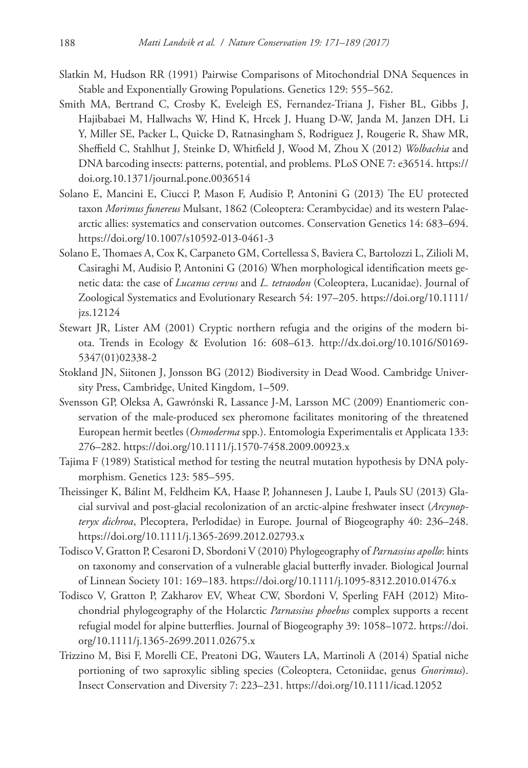- Slatkin M, Hudson RR (1991) Pairwise Comparisons of Mitochondrial DNA Sequences in Stable and Exponentially Growing Populations. Genetics 129: 555–562.
- Smith MA, Bertrand C, Crosby K, Eveleigh ES, Fernandez-Triana J, Fisher BL, Gibbs J, Hajibabaei M, Hallwachs W, Hind K, Hrcek J, Huang D-W, Janda M, Janzen DH, Li Y, Miller SE, Packer L, Quicke D, Ratnasingham S, Rodriguez J, Rougerie R, Shaw MR, Sheffield C, Stahlhut J, Steinke D, Whitfield J, Wood M, Zhou X (2012) *Wolbachia* and DNA barcoding insects: patterns, potential, and problems. PLoS ONE 7: e36514. [https://](https://doi.org.10.1371/journal.pone.0036514) [doi.org.10.1371/journal.pone.0036514](https://doi.org.10.1371/journal.pone.0036514)
- Solano E, Mancini E, Ciucci P, Mason F, Audisio P, Antonini G (2013) The EU protected taxon *Morimus funereus* Mulsant, 1862 (Coleoptera: Cerambycidae) and its western Palaearctic allies: systematics and conservation outcomes. Conservation Genetics 14: 683–694. <https://doi.org/10.1007/s10592-013-0461-3>
- Solano E, Thomaes A, Cox K, Carpaneto GM, Cortellessa S, Baviera C, Bartolozzi L, Zilioli M, Casiraghi M, Audisio P, Antonini G (2016) When morphological identification meets genetic data: the case of *Lucanus cervus* and *L. tetraodon* (Coleoptera, Lucanidae). Journal of Zoological Systematics and Evolutionary Research 54: 197–205. [https://doi.org/10.1111/](https://doi.org/10.1111/jzs.12124) [jzs.12124](https://doi.org/10.1111/jzs.12124)
- Stewart JR, Lister AM (2001) Cryptic northern refugia and the origins of the modern biota. Trends in Ecology & Evolution 16: 608–613. [http://dx.doi.org/10.1016/S0169-](http://dx.doi.org/10.1016/S0169-5347(01)02338-2) [5347\(01\)02338-2](http://dx.doi.org/10.1016/S0169-5347(01)02338-2)
- Stokland JN, Siitonen J, Jonsson BG (2012) Biodiversity in Dead Wood. Cambridge University Press, Cambridge, United Kingdom, 1–509.
- Svensson GP, Oleksa A, Gawrónski R, Lassance J-M, Larsson MC (2009) Enantiomeric conservation of the male-produced sex pheromone facilitates monitoring of the threatened European hermit beetles (*Osmoderma* spp.). Entomologia Experimentalis et Applicata 133: 276–282.<https://doi.org/10.1111/j.1570-7458.2009.00923.x>
- Tajima F (1989) Statistical method for testing the neutral mutation hypothesis by DNA polymorphism. Genetics 123: 585–595.
- Theissinger K, Bálint M, Feldheim KA, Haase P, Johannesen J, Laube I, Pauls SU (2013) Glacial survival and post-glacial recolonization of an arctic-alpine freshwater insect (*Arcynopteryx dichroa*, Plecoptera, Perlodidae) in Europe. Journal of Biogeography 40: 236–248. <https://doi.org/10.1111/j.1365-2699.2012.02793.x>
- Todisco V, Gratton P, Cesaroni D, Sbordoni V (2010) Phylogeography of *Parnassius apollo*: hints on taxonomy and conservation of a vulnerable glacial butterfly invader. Biological Journal of Linnean Society 101: 169–183.<https://doi.org/10.1111/j.1095-8312.2010.01476.x>
- Todisco V, Gratton P, Zakharov EV, Wheat CW, Sbordoni V, Sperling FAH (2012) Mitochondrial phylogeography of the Holarctic *Parnassius phoebus* complex supports a recent refugial model for alpine butterflies. Journal of Biogeography 39: 1058–1072. [https://doi.](https://doi.org/10.1111/j.1365-2699.2011.02675.x) [org/10.1111/j.1365-2699.2011.02675.x](https://doi.org/10.1111/j.1365-2699.2011.02675.x)
- Trizzino M, Bisi F, Morelli CE, Preatoni DG, Wauters LA, Martinoli A (2014) Spatial niche portioning of two saproxylic sibling species (Coleoptera, Cetoniidae, genus *Gnorimus*). Insect Conservation and Diversity 7: 223–231.<https://doi.org/10.1111/icad.12052>